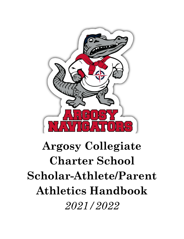

# **Argosy Collegiate Charter School Scholar-Athlete/Parent Athletics Handbook** *2021/2022*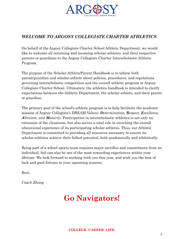

# *WELCOME TO ARGOSY COLLEGIATE CHARTER ATHLETICS*

On behalf of the Argosy Collegiate Charter School Athletic Department, we would like to welcome all returning and incoming scholar-athletes, and their respective parents or guardians to the Argosy Collegiate Charter Interscholastic Athletic Program.

The purpose of the Scholar-Athlete/Parent Handbook is to inform both parent/guardian and scholar-athlete about policies, procedures, and regulations governing interscholastic competition and the overall athletic program at Argosy Collegiate Charter School. Ultimately, the athletics handbook is intended to clarify expectations between the Athletic Department, the scholar-athlete, and their parent or guardian.

The primary goal of the school's athletic program is to help facilitate the academic mission of Argosy Collegiate's DREAM Values: *Determination, Respect, Excellence, Altruism, and Maturity.* Participation in interscholastic athletics is not only an extension of the classroom, but also serves a vital role in enriching the overall educational experience of its participating scholar-athletes. Thus, our Athletic Department is committed to providing all resources necessary to ensure its scholar-athletes achieve their fullest potential, both academically and athletically.

Being part of a school sports team requires major sacrifice and commitment from an individual, but can also be one of the most rewarding experiences within your lifetime. We look forward to working with you this year, and wish you the best of luck and good fortune in your upcoming seasons.

Best,

*Coach Zhang*

# **Go Navigators!**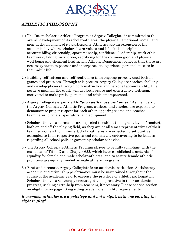

# *ATHLETIC PHILOSOPHY*

- 1.) The Interscholastic Athletic Program at Argosy Collegiate is committed to the overall development of its scholar-athletes: the physical, emotional, social, and mental development of its participants. Athletics are an extension of the academic day where scholars learn values and life-skills: discipline, accountability, citizenship, sportsmanship, confidence, leadership, work ethic, teamwork, taking instruction, sacrificing for the common good and physical well-being and chemical health. The Athletic Department believes that these are necessary traits to possess and incorporate to experience personal success in their adult life.
- 2.) Building self-esteem and self-confidence is an ongoing process, used both in games and practices. Through this process, Argosy Collegiate coaches challenge and develop players through both instruction and personal accountability. In a positive manner, the coach will use both praise and constructive criticism, motivated to make praise personal and criticism impersonal.
- 3.) Argosy Collegiate expects all to **"***play with class and poise***."** As members of the Argosy Collegiate Athletic Program, athletes and coaches are expected to demonstrate proper respect for each other, opposing teams and coaches, teammates, officials, spectators, and equipment.
- 4.) Scholar-athletes and coaches are expected to exhibit the highest level of conduct, both on and off the playing field, as they are at all times representatives of their team, school, and community. Scholar-athletes are expected to set positive examples to their respective peers and classmates, endeavoring to be leaders regarding all school policies governing scholar behavior.
- 5.) The Argosy Collegiate Athletic Program strives to be fully compliant with the mandates of Title IX and Chapter 622, which have established standards of equality for female and male scholar-athletes, and to assure female athletic programs are equally funded as male athletic programs.
- 6.) First and foremost, Argosy Collegiate is an academic institution. Satisfactory academic and citizenship performance must be maintained throughout the course of the academic year to exercise the privilege of athletic participation. Scholar-athletes are strongly encouraged to be proactive in their academic progress, seeking extra-help from teachers, if necessary. Please see the section on eligibility on page 10 regarding academic eligibility requirements.

#### *Remember, athletics are a privilege and not a right, with one earning the right to play!*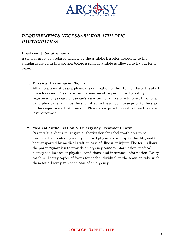

# *REQUIREMENTS NECESSARY FOR ATHLETIC PARTICIPATION*

#### **Pre-Tryout Requirements:**

A scholar must be declared eligible by the Athletic Director according to the standards listed in this section before a scholar-athlete is allowed to try out for a team.

#### **1. Physical Examination/Form**

All scholars must pass a physical examination within 13 months of the start of each season. Physical examinations must be performed by a duly registered physician, physician's assistant, or nurse practitioner. Proof of a valid physical exam must be submitted to the school nurse prior to the start of the respective athletic season. Physicals expire 13 months from the date last performed.

#### **2. Medical Authorization & Emergency Treatment Form**

Parents/guardians must give authorization for scholar-athletes to be evaluated or treated by a duly licensed physician or hospital facility, and to be transported by medical staff, in case of illness or injury. The form allows the parent/guardian to provide emergency contact information, medical history to illnesses or physical conditions, and insurance information. Every coach will carry copies of forms for each individual on the team, to take with them for all away games in case of emergency.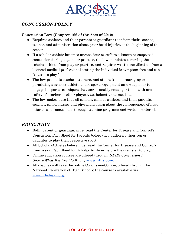

# *CONCUSSION POLICY*

#### **Concussion Law (Chapter 166 of the Acts of 2010)**

- Requires athletes and their parents or guardians to inform their coaches, trainer, and administration about prior head injuries at the beginning of the season.
- If a scholar-athlete becomes unconscious or suffers a known or suspected concussion during a game or practice, the law mandates removing the scholar-athlete from play or practice, and requires written certification from a licensed medical professional stating the individual is symptom-free and can "return to play."
- The law prohibits coaches, trainers, and others from encouraging or permitting a scholar-athlete to use sports equipment as a weapon or to engage in sports techniques that unreasonably endanger the health and safety of him/her or other players, *i.e.* helmet to helmet hits.
- The law makes sure that all schools, scholar-athletes and their parents, coaches, school nurses and physicians learn about the consequences of head injuries and concussions through training programs and written materials.

### *EDUCATION*

- Both, parent or guardian, must read the Center for Disease and Control's Concussion Fact Sheet for Parents before they authorize their son or daughter to play their respective sport.
- All Scholar-Athletes before must read the Center for Disease and Control's Concussion Fact Sheet for Scholar-Athletes before they register to play.
- Online education courses are offered through, *NFHS Concussion In Sports-What You Need to Know,* **[www.nfhs.com.](http://www.nfhs.com)**
- All coaches will take the online ConcussionCourse, offered through the National Federation of High Schools; the course is available via [www.nfhslearn.org.](http://www.nfhslearn.org)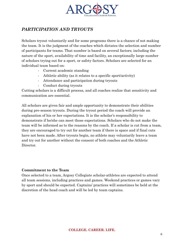

# *PARTICIPATION AND TRYOUTS*

Scholars tryout voluntarily and for some programs there is a chance of not making the team. It is the judgment of the coaches which dictates the selection and number of participants for teams. That number is based on several factors; including the nature of the sport, availability of time and facility, an exceptionally large number of scholars trying out for a sport, or safety factors. Scholars are selected for an individual team based on:

- Current academic standing
- Athletic ability (as it relates to a specific sport/activity)
- Attendance and participation during tryouts
- Conduct during tryouts

Cutting scholars is a difficult process, and all coaches realize that sensitivity and communication are essential.

All scholars are given fair and ample opportunity to demonstrate their abilities during pre-season tryouts. During the tryout period the coach will provide an explanation of his or her expectations. It is the scholar's responsibility to demonstrate if he/she can meet those expectations. Scholars who do not make the team will be informed as to the reasons by the coach. If a scholar is cut from a team, they are encouraged to try out for another team if there is space and if final cuts have not been made. After tryouts begin, no athlete may voluntarily leave a team and try out for another without the consent of both coaches and the Athletic Director.

#### **Commitment to the Team**

Once selected to a team, Argosy Collegiate scholar-athletes are expected to attend all team sessions, including practices and games. Weekend practices or games vary by sport and should be expected. Captains' practices will sometimes be held at the discretion of the head coach and will be led by team captains.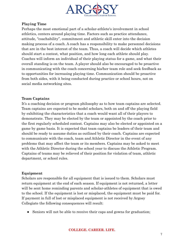

#### **Playing Time**

Perhaps the most emotional part of a scholar-athlete's involvement in school athletics, centers around playing time. Factors such as practice attendance, attitude, "coachability", commitment and athletic skill enter into the decision making process of a coach. A coach has a responsibility to make personnel decisions that are in the best interest of the team. Thus, a coach will decide which athletes should start a contest, what position, and how long each athlete should play. Coaches will inform an individual of their playing status for a game, and what their overall standing is on the team. A player should also be encouraged to be proactive in communicating with the coach concerning his/her team role and seek feedback as to opportunities for increasing playing time. Communication should be proactive from both sides, with it being conducted during practice or school hours, not on social media networking sites.

#### **Team Captains**

It's a coaching decision or program philosophy as to how team captains are selected. Team captains are expected to be model scholars, both on and off the playing field by exhibiting the characteristics that a coach would want all of their players to demonstrate. They may be elected by the team or appointed by the coach prior to the first regularly scheduled contest. Captains may also be elected or appointed on a game by game basis. It is expected that team captains be leaders of their team and should be ready to assume duties as outlined by their coach. Captains are expected to communicate with the coach, team and Athletic Director in the event of any problems that may affect the team or its members. Captains may be asked to meet with the Athletic Director during the school year to discuss the Athletic Program. Captains of teams may be relieved of their position for violation of team, athletic department, or school rules.

#### **Equipment**

Scholars are responsible for all equipment that is issued to them. Scholars must return equipment at the end of each season. If equipment is not returned, a letter will be sent home reminding parents and scholar-athletes of equipment that is owed to the school. If the equipment is lost or misplaced, the equipment must be paid for. If payment in full of lost or misplaced equipment is not received by Argosy Collegiate the following consequences will result:

• Seniors will not be able to receive their caps and gowns for graduation;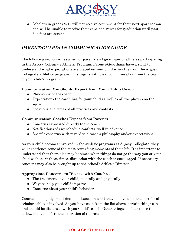

• Scholars in grades 9-11 will not receive equipment for their next sport season and will be unable to receive their caps and gowns for graduation until past due fees are settled.

# *PARENT/GUARDIAN COMMUNICATION GUIDE*

The following section is designed for parents and guardians of athletes participating in the Argosy Collegiate Athletic Program. Parents/Guardians have a right to understand what expectations are placed on your child when they join the Argosy Collegiate athletics program. This begins with clear communication from the coach of your child's program.

#### **Communication You Should Expect from Your Child's Coach**

- Philosophy of the coach
- Expectations the coach has for your child as well as all the players on the squad
- Locations and times of all practices and contests

#### **Communication Coaches Expect from Parents**

- Concerns expressed directly to the coach
- Notifications of any schedule conflicts, well in advance
- Specific concerns with regard to a coach's philosophy and/or expectations

As your child becomes involved in the athletic programs at Argosy Collegiate, they will experience some of the most rewarding moments of their life. It is important to understand that there also may be times when things do not go the way you or your child wishes. At these times, discussion with the coach is encouraged. If necessary, concerns may also be brought up to the school's Athletic Director.

#### **Appropriate Concerns to Discuss with Coaches**

- The treatment of your child, mentally and physically
- Ways to help your child improve
- Concerns about your child's behavior

Coaches make judgement decisions based on what they believe to be the best for all scholar-athletes involved. As you have seen from the list above, certain things can and should be discussed with your child's coach. Other things, such as those that follow, must be left to the discretion of the coach.

#### **COLLEGE. CAREER. LIFE.**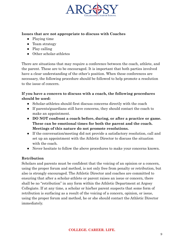

#### **Issues that are not appropriate to discuss with Coaches**

- Playing time
- Team strategy
- Play calling
- Other scholar-athletes

There are situations that may require a conference between the coach, athlete, and the parent. These are to be encouraged. It is important that both parties involved have a clear understanding of the other's position. When these conferences are necessary, the following procedure should be followed to help promote a resolution to the issue of concern.

#### **If you have a concern to discuss with a coach, the following procedures should be used:**

- Scholar-athletes should first discuss concerns directly with the coach
- If parents/guardians still have concerns, they should contact the coach to make an appointment.
- **● DO NOT confront a coach before, during, or after a practice or game. These can be emotional times for both the parent and the coach. Meetings of this nature do not promote resolutions.**
- If the conversation/meeting did not provide a satisfactory resolution, call and set up an appointment with the Athletic Director to discuss the situation with the coach.
- Never hesitate to follow the above procedures to make your concerns known.

#### **Retribution**

Scholars and parents must be confident that the voicing of an opinion or a concern, using the proper forum and method, is not only free from penalty or retribution, but also is strongly encouraged. The Athletic Director and coaches are committed to ensuring that after a scholar-athlete or parent raises an issue or concern, there shall be no "retribution" in any form within the Athletic Department at Argosy Collegiate. If at any time, a scholar or his/her parent suspects that some form of retribution is surfacing as a result of the voicing of a concern, opinion, or issue, using the proper forum and method, he or she should contact the Athletic Director immediately.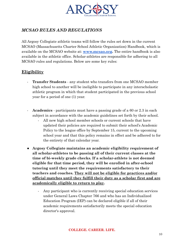

# *MCSAO RULES AND REGULATIONS*

All Argosy Collegiate athletic teams will follow the rules set down in the current MCSAO (Massachusetts Charter School Athletic Organization) Handbook, which is available on the MCSAO website at: **[www.mcsao.org](http://www.mcsao.org).** The entire handbook is also available in the athletic office. Scholar-athletes are responsible for adhering to all MCSAO rules and regulations. Below are some key rules:

#### **Eligibility**

- **Transfer Students** any student who transfers from one MCSAO member high school to another will be ineligible to participate in any interscholastic athletic program in which that student participated in the previous school year for a period of one (1) year.
- **Academics** participants must have a passing grade of a 60 or 2.3 in each subject in accordance with the academic guidelines set forth by their school.
	- All new high school member schools or current schools that have updated their policies are required to submit their school's Academic Policy to the league office by September 15, current to the upcoming school year and that this policy remains in effect and be adhered to for the entirety of that calendar year.
- **Argosy Collegiate maintains an academic eligibility requirement of all scholar-athletes to be passing all of their current classes at the time of bi-weekly grade checks. If a scholar-athlete is not deemed eligible for that time period, they will be enrolled in after-school tutoring until they meet the requirements satisfactory to their teachers and coaches. They will not be eligible for practices and/or official matches until they fulfill their duty as a scholar first and are academically eligible to return to play.**
	- Any participant who is currently receiving special education services under General Laws Chapter 766 and who has an Individualized Education Program (IEP) can be declared eligible if all of their academic requirements satisfactorily meets the special education director's approval.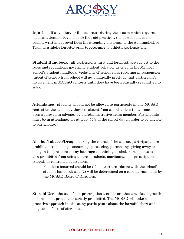

- **Injuries** If any injury or illness occurs during the season which requires medical attention beyond basic first aid practices, the participant must submit written approval from the attending physician to the Administrative Team or Athletic Director prior to returning to athletic participation.
- **Student Handbook** all participants, first and foremost, are subject to the rules and regulations governing student behavior as cited in the Member School's student handbook. Violations of school rules resulting in suspension (in/out of school) from school will automatically preclude that participant's involvement in MCSAO contests until they have been officially readmitted to school.
- Attendance students should not be allowed to participate in any MCSAO contest on the same day they are absent from school unless the absence has been approved in advance by an Administrative Team member. Participants must be in attendance for at least 57% of the school day in order to be eligible to participate.
- **Alcohol/Tobacco/Drugs** during the course of the season, participants are prohibited from using, consuming, possessing, purchasing, giving away or being in the presence of any beverage containing alcohol. Participants are also prohibited from using tobacco products, marijuana, non-prescription steroids or controlled substances.
	- Penalties incurred should be (1) in strict accordance with the school's student handbook and (2) will be determined on a case-by-case basis by the MCSAO Board of Directors.
- **Steroid Use** the use of non-prescription steroids or other associated growth enhancement products is strictly prohibited. The MCSAO will take a proactive approach in educating participants about the harmful short and long term effects of steroid use.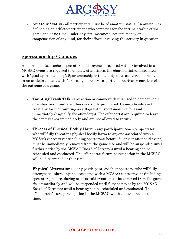

- **Amateur Status** - all participants must be of amateur status. An amateur is defined as an athlete/participant who competes for the intrinsic value of the game and at no time, under any circumstances, accepts money or compensation of any kind, for their efforts involving the activity in question.

#### **Sportsmanship / Conduct**

All participants, coaches, spectators and anyone associated with or involved in a MCSAO event are required to display, at all times, the characteristics associated with **"**good sportsmanship**"**. Sportsmanship is the ability to treat everyone involved in an athletic contest with fairness, generosity, respect and courtesy regardless of the outcome of a game.

- **Taunting/Trash Talk** any action or comment that is used to demean, bait or embarrass/humiliate others is strictly prohibited. Game officials are to treat any form of taunting as a flagrant unsportsmanlike foul and immediately disqualify the offender(s). The offender(s) are required to leave the contest area immediately and are not allowed to return.
- **Threats of Physical Bodily Harm** any participant, coach or spectator who willfully threatens physical bodily harm to anyone associated with a MCSAO contest/event(including spectators) before, during or after said event, must be immediately removed from the game site and will be suspended until further notice by the MCSAO Board of Directors until a hearing can be scheduled and conducted. The offender(s) future participation in the MCSAO will be determined at that time.
- **Physical Altercations** any participant, coach or spectator who willfully attempts to injure anyone associated with a MCSAO contest/event (including spectators) before, during or after said event, must be removed from the game site immediately and will be suspended until further notice by the MCSAO Board of Directors until a hearing can be scheduled and conducted. The offender(s) future participation in the MCSAO will be determined at that time.